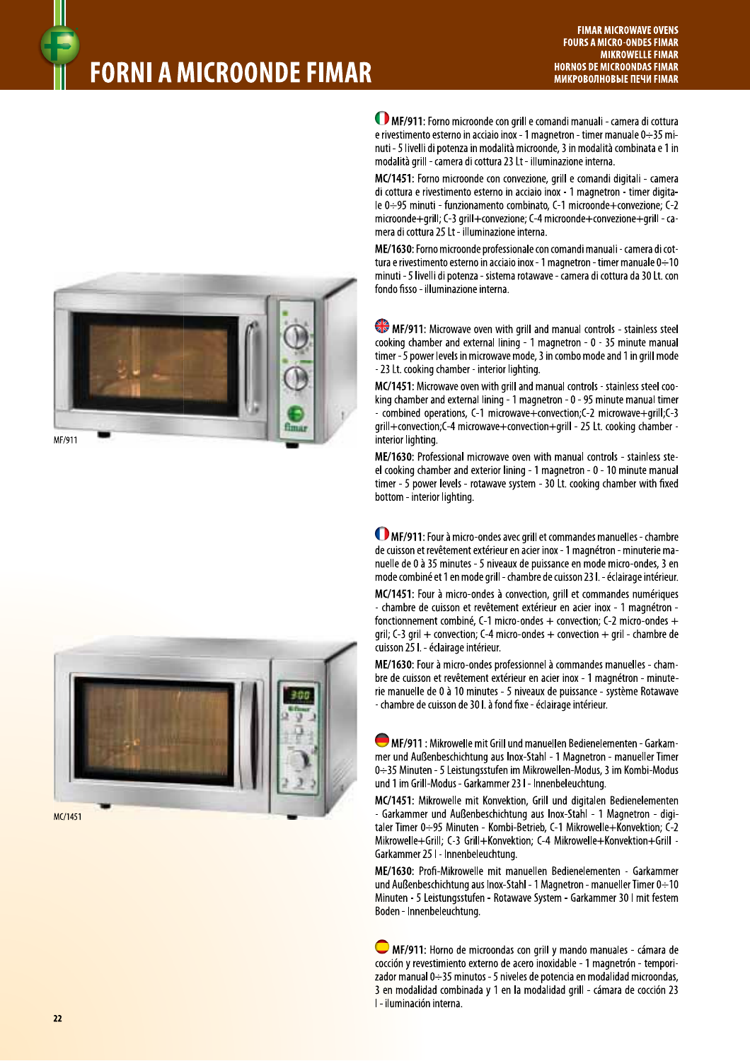## **FORNI A MICROONDE FIMAR**





MF/911: Forno microonde con grill e comandi manuali - camera di cottura e rivestimento esterno in acciaio inox - 1 magnetron - timer manuale  $0 \div 35$  minuti - 5 livelli di potenza in modalità microonde, 3 in modalità combinata e 1 in modalità grill - camera di cottura 23 Lt - illuminazione interna.

MC/1451: Forno microonde con convezione, grill e comandi digitali - camera di cottura e rivestimento esterno in acciaio inox - 1 magnetron - timer digitale 0÷95 minuti - funzionamento combinato, C-1 microonde+convezione; C-2 microonde+grill; C-3 grill+convezione; C-4 microonde+convezione+grill - camera di cottura 25 Lt - illuminazione interna.

ME/1630: Forno microonde professionale con comandi manuali - camera di cottura e rivestimento esterno in acciaio inox - 1 magnetron - timer manuale 0 - 10 minuti - 5 livelli di potenza - sistema rotawave - camera di cottura da 30 Lt. con fondo fisso - illuminazione interna.

MF/911: Microwave oven with grill and manual controls - stainless steel cooking chamber and external lining - 1 magnetron - 0 - 35 minute manual timer - 5 power levels in microwave mode, 3 in combo mode and 1 in grill mode - 23 Lt. cooking chamber - interior lighting.

MC/1451: Microwave oven with grill and manual controls - stainless steel cooking chamber and external lining - 1 magnetron - 0 - 95 minute manual timer - combined operations, C-1 microwave+convection;C-2 microwave+grill;C-3 qrill+convection;C-4 microwave+convection+grill - 25 Lt. cooking chamber interior lighting.

ME/1630: Professional microwave oven with manual controls - stainless steel cooking chamber and exterior lining - 1 magnetron - 0 - 10 minute manual timer - 5 power levels - rotawave system - 30 Lt. cooking chamber with fixed bottom - interior lighting.

MF/911: Four à micro-ondes avec grill et commandes manuelles - chambre de cuisson et revêtement extérieur en acier inox - 1 magnétron - minuterie manuelle de 0 à 35 minutes - 5 niveaux de puissance en mode micro-ondes, 3 en mode combiné et 1 en mode grill - chambre de cuisson 23 l. - éclairage intérieur.

MC/1451: Four à micro-ondes à convection, grill et commandes numériques - chambre de cuisson et revêtement extérieur en acier inox - 1 magnétron fonctionnement combiné, C-1 micro-ondes + convection; C-2 micro-ondes + gril; C-3 gril + convection; C-4 micro-ondes + convection + gril - chambre de cuisson 25 I. - éclairage intérieur.

ME/1630: Four à micro-ondes professionnel à commandes manuelles - chambre de cuisson et revêtement extérieur en acier inox - 1 magnétron - minuterie manuelle de 0 à 10 minutes - 5 niveaux de puissance - système Rotawave - chambre de cuisson de 30 l. à fond fixe - éclairage intérieur.

MF/911 : Mikrowelle mit Grill und manuellen Bedienelementen - Garkammer und Außenbeschichtung aus Inox-Stahl - 1 Magnetron - manueller Timer 0-35 Minuten - 5 Leistungsstufen im Mikrowellen-Modus, 3 im Kombi-Modus und 1 im Grill-Modus - Garkammer 23 I - Innenbeleuchtung.

MC/1451: Mikrowelle mit Konvektion, Grill und digitalen Bedienelementen - Garkammer und Außenbeschichtung aus Inox-Stahl - 1 Magnetron - digitaler Timer 0:+95 Minuten - Kombi-Betrieb, C-1 Mikrowelle+Konvektion; C-2 Mikrowelle+Grill; C-3 Grill+Konvektion; C-4 Mikrowelle+Konvektion+Grill -Garkammer 25 I - Innenbeleuchtung.

ME/1630: Profi-Mikrowelle mit manuellen Bedienelementen - Garkammer und Außenbeschichtung aus Inox-Stahl - 1 Magnetron - manueller Timer 0 ÷ 10 Minuten - 5 Leistungsstufen - Rotawave System - Garkammer 30 I mit festem Boden - Innenbeleuchtung.

MF/911: Horno de microondas con grill y mando manuales - cámara de cocción y revestimiento externo de acero inoxidable - 1 magnetrón - temporizador manual 0÷35 minutos - 5 niveles de potencia en modalidad microondas, 3 en modalidad combinada y 1 en la modalidad grill - cámara de cocción 23 I - iluminación interna.